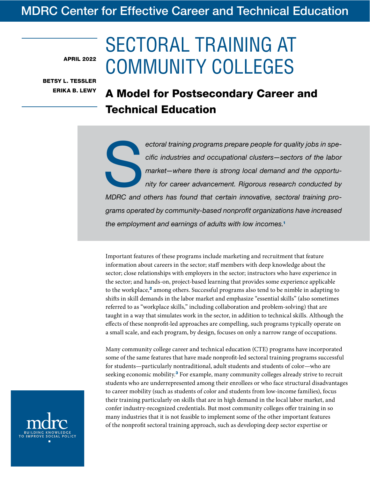# MDRC Center for Effective Career and Technical Education

APRIL 2022

BETSY L. TESSLER ERIKA B. LEWY

# SECTORAL TRAINING AT COMMUNITY COLLEGES

# A Model for Postsecondary Career and Technical Education

ectoral training programs prepare people for quality jobs in spe-<br>
cific industries and occupational clusters—sectors of the labor<br>
market—where there is strong local demand and the opportu-<br>
nity for career advancement. R *cific industries and occupational clusters—sectors of the labor market—where there is strong local demand and the opportunity for career advancement. Rigorous research conducted by MDRC and others has found that certain innovative, sectoral training programs operated by community-based nonprofit organizations have increased the employment and earnings of adults with low incomes.*<sup>1</sup>

Important features of these programs include marketing and recruitment that feature information about careers in the sector; staff members with deep knowledge about the sector; close relationships with employers in the sector; instructors who have experience in the sector; and hands-on, project-based learning that provides some experience applicable to the workplace, $^2$  among others. Successful programs also tend to be nimble in adapting to shifts in skill demands in the labor market and emphasize "essential skills" (also sometimes referred to as "workplace skills," including collaboration and problem-solving) that are taught in a way that simulates work in the sector, in addition to technical skills. Although the effects of these nonprofit-led approaches are compelling, such programs typically operate on a small scale, and each program, by design, focuses on only a narrow range of occupations.

Many community college career and technical education (CTE) programs have incorporated some of the same features that have made nonprofit-led sectoral training programs successful for students—particularly nontraditional, adult students and students of color—who are seeking economic mobility.<sup>3</sup> For example, many community colleges already strive to recruit students who are underrepresented among their enrollees or who face structural disadvantages to career mobility (such as students of color and students from low-income families), focus their training particularly on skills that are in high demand in the local labor market, and confer industry-recognized credentials. But most community colleges offer training in so many industries that it is not feasible to implement some of the other important features of the nonprofit sectoral training approach, such as developing deep sector expertise or

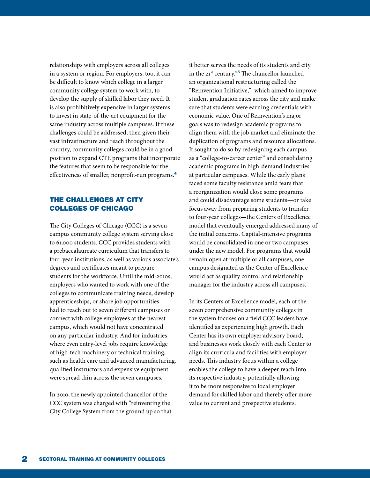relationships with employers across all colleges in a system or region. For employers, too, it can be difficult to know which college in a larger community college system to work with, to develop the supply of skilled labor they need. It is also prohibitively expensive in larger systems to invest in state-of-the-art equipment for the same industry across multiple campuses. If these challenges could be addressed, then given their vast infrastructure and reach throughout the country, community colleges could be in a good position to expand CTE programs that incorporate the features that seem to be responsible for the effectiveness of smaller, nonprofit-run programs.<sup>4</sup>

# THE CHALLENGES AT CITY COLLEGES OF CHICAGO

The City Colleges of Chicago (CCC) is a sevencampus community college system serving close to 61,000 students. CCC provides students with a prebaccalaureate curriculum that transfers to four-year institutions, as well as various associate's degrees and certificates meant to prepare students for the workforce. Until the mid-2010s, employers who wanted to work with one of the colleges to communicate training needs, develop apprenticeships, or share job opportunities had to reach out to seven different campuses or connect with college employees at the nearest campus, which would not have concentrated on any particular industry. And for industries where even entry-level jobs require knowledge of high-tech machinery or technical training, such as health care and advanced manufacturing, qualified instructors and expensive equipment were spread thin across the seven campuses.

In 2010, the newly appointed chancellor of the CCC system was charged with "reinventing the City College System from the ground up so that it better serves the needs of its students and city in the  $21^{st}$  century."<sup>5</sup> The chancellor launched an organizational restructuring called the "Reinvention Initiative," which aimed to improve student graduation rates across the city and make sure that students were earning credentials with economic value. One of Reinvention's major goals was to redesign academic programs to align them with the job market and eliminate the duplication of programs and resource allocations. It sought to do so by redesigning each campus as a "college-to-career center" and consolidating academic programs in high-demand industries at particular campuses. While the early plans faced some faculty resistance amid fears that a reorganization would close some programs and could disadvantage some students—or take focus away from preparing students to transfer to four-year colleges—the Centers of Excellence model that eventually emerged addressed many of the initial concerns. Capital-intensive programs would be consolidated in one or two campuses under the new model. For programs that would remain open at multiple or all campuses, one campus designated as the Center of Excellence would act as quality control and relationship manager for the industry across all campuses.

In its Centers of Excellence model, each of the seven comprehensive community colleges in the system focuses on a field CCC leaders have identified as experiencing high growth. Each Center has its own employer advisory board, and businesses work closely with each Center to align its curricula and facilities with employer needs. This industry focus within a college enables the college to have a deeper reach into its respective industry, potentially allowing it to be more responsive to local employer demand for skilled labor and thereby offer more value to current and prospective students.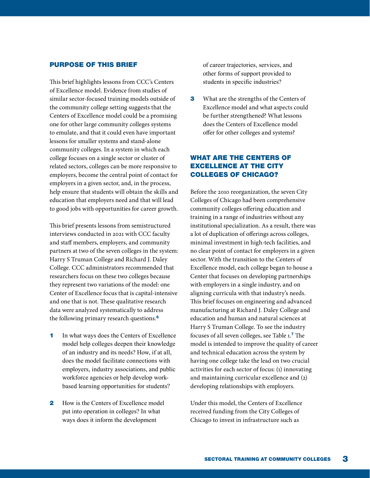#### PURPOSE OF THIS BRIEF

This brief highlights lessons from CCC's Centers of Excellence model. Evidence from studies of similar sector-focused training models outside of the community college setting suggests that the Centers of Excellence model could be a promising one for other large community colleges systems to emulate, and that it could even have important lessons for smaller systems and stand-alone community colleges. In a system in which each college focuses on a single sector or cluster of related sectors, colleges can be more responsive to employers, become the central point of contact for employers in a given sector, and, in the process, help ensure that students will obtain the skills and education that employers need and that will lead to good jobs with opportunities for career growth.

This brief presents lessons from semistructured interviews conducted in 2021 with CCC faculty and staff members, employers, and community partners at two of the seven colleges in the system: Harry S Truman College and Richard J. Daley College. CCC administrators recommended that researchers focus on these two colleges because they represent two variations of the model: one Center of Excellence focus that is capital-intensive and one that is not. These qualitative research data were analyzed systematically to address the following primary research questions.<sup>6</sup>

- 1 In what ways does the Centers of Excellence model help colleges deepen their knowledge of an industry and its needs? How, if at all, does the model facilitate connections with employers, industry associations, and public workforce agencies or help develop workbased learning opportunities for students?
- 2 How is the Centers of Excellence model put into operation in colleges? In what ways does it inform the development

of career trajectories, services, and other forms of support provided to students in specific industries?

**3** What are the strengths of the Centers of Excellence model and what aspects could be further strengthened? What lessons does the Centers of Excellence model offer for other colleges and systems?

# WHAT ARE THE CENTERS OF EXCELLENCE AT THE CITY COLLEGES OF CHICAGO?

Before the 2010 reorganization, the seven City Colleges of Chicago had been comprehensive community colleges offering education and training in a range of industries without any institutional specialization. As a result, there was a lot of duplication of offerings across colleges, minimal investment in high-tech facilities, and no clear point of contact for employers in a given sector. With the transition to the Centers of Excellence model, each college began to house a Center that focuses on developing partnerships with employers in a single industry, and on aligning curricula with that industry's needs. This brief focuses on engineering and advanced manufacturing at Richard J. Daley College and education and human and natural sciences at Harry S Truman College. To see the industry focuses of all seven colleges, see Table 1.<sup>7</sup> The model is intended to improve the quality of career and technical education across the system by having one college take the lead on two crucial activities for each sector of focus: (1) innovating and maintaining curricular excellence and (2) developing relationships with employers.

Under this model, the Centers of Excellence received funding from the City Colleges of Chicago to invest in infrastructure such as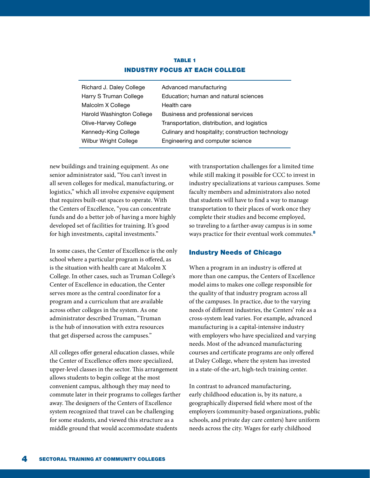# TABLE 1 INDUSTRY FOCUS AT EACH COLLEGE

| Richard J. Daley College     | Advanced manufacturing                            |
|------------------------------|---------------------------------------------------|
| Harry S Truman College       | Education; human and natural sciences             |
| Malcolm X College            | Health care                                       |
| Harold Washington College    | Business and professional services                |
| Olive-Harvey College         | Transportation, distribution, and logistics       |
| Kennedy-King College         | Culinary and hospitality; construction technology |
| <b>Wilbur Wright College</b> | Engineering and computer science                  |
|                              |                                                   |

new buildings and training equipment. As one senior administrator said, "You can't invest in all seven colleges for medical, manufacturing, or logistics," which all involve expensive equipment that requires built-out spaces to operate. With the Centers of Excellence, "you can concentrate funds and do a better job of having a more highly developed set of facilities for training. It's good for high investments, capital investments."

In some cases, the Center of Excellence is the only school where a particular program is offered, as is the situation with health care at Malcolm X College. In other cases, such as Truman College's Center of Excellence in education, the Center serves more as the central coordinator for a program and a curriculum that are available across other colleges in the system. As one administrator described Truman, "Truman is the hub of innovation with extra resources that get dispersed across the campuses."

All colleges offer general education classes, while the Center of Excellence offers more specialized, upper-level classes in the sector. This arrangement allows students to begin college at the most convenient campus, although they may need to commute later in their programs to colleges farther away. The designers of the Centers of Excellence system recognized that travel can be challenging for some students, and viewed this structure as a middle ground that would accommodate students

with transportation challenges for a limited time while still making it possible for CCC to invest in industry specializations at various campuses. Some faculty members and administrators also noted that students will have to find a way to manage transportation to their places of work once they complete their studies and become employed, so traveling to a farther-away campus is in some ways practice for their eventual work commutes.<sup>8</sup>

## Industry Needs of Chicago

When a program in an industry is offered at more than one campus, the Centers of Excellence model aims to makes one college responsible for the quality of that industry program across all of the campuses. In practice, due to the varying needs of different industries, the Centers' role as a cross-system lead varies. For example, advanced manufacturing is a capital-intensive industry with employers who have specialized and varying needs. Most of the advanced manufacturing courses and certificate programs are only offered at Daley College, where the system has invested in a state-of-the-art, high-tech training center.

In contrast to advanced manufacturing, early childhood education is, by its nature, a geographically dispersed field where most of the employers (community-based organizations, public schools, and private day care centers) have uniform needs across the city. Wages for early childhood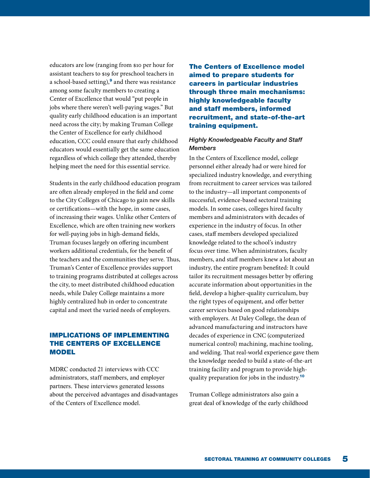educators are low (ranging from \$10 per hour for assistant teachers to \$19 for preschool teachers in a school-based setting), $9$  and there was resistance among some faculty members to creating a Center of Excellence that would "put people in jobs where there weren't well-paying wages." But quality early childhood education is an important need across the city; by making Truman College the Center of Excellence for early childhood education, CCC could ensure that early childhood educators would essentially get the same education regardless of which college they attended, thereby helping meet the need for this essential service.

Students in the early childhood education program are often already employed in the field and come to the City Colleges of Chicago to gain new skills or certifications—with the hope, in some cases, of increasing their wages. Unlike other Centers of Excellence, which are often training new workers for well-paying jobs in high-demand fields, Truman focuses largely on offering incumbent workers additional credentials, for the benefit of the teachers and the communities they serve. Thus, Truman's Center of Excellence provides support to training programs distributed at colleges across the city, to meet distributed childhood education needs, while Daley College maintains a more highly centralized hub in order to concentrate capital and meet the varied needs of employers.

# IMPLICATIONS OF IMPLEMENTING THE CENTERS OF EXCELLENCE MODEL

MDRC conducted 21 interviews with CCC administrators, staff members, and employer partners. These interviews generated lessons about the perceived advantages and disadvantages of the Centers of Excellence model.

The Centers of Excellence model aimed to prepare students for careers in particular industries through three main mechanisms: highly knowledgeable faculty and staff members, informed recruitment, and state-of-the-art training equipment.

## *Highly Knowledgeable Faculty and Staff Members*

In the Centers of Excellence model, college personnel either already had or were hired for specialized industry knowledge, and everything from recruitment to career services was tailored to the industry—all important components of successful, evidence-based sectoral training models. In some cases, colleges hired faculty members and administrators with decades of experience in the industry of focus. In other cases, staff members developed specialized knowledge related to the school's industry focus over time. When administrators, faculty members, and staff members knew a lot about an industry, the entire program benefited: It could tailor its recruitment messages better by offering accurate information about opportunities in the field, develop a higher-quality curriculum, buy the right types of equipment, and offer better career services based on good relationships with employers. At Daley College, the dean of advanced manufacturing and instructors have decades of experience in CNC (computerized numerical control) machining, machine tooling, and welding. That real-world experience gave them the knowledge needed to build a state-of-the-art training facility and program to provide highquality preparation for jobs in the industry.<sup>10</sup>

Truman College administrators also gain a great deal of knowledge of the early childhood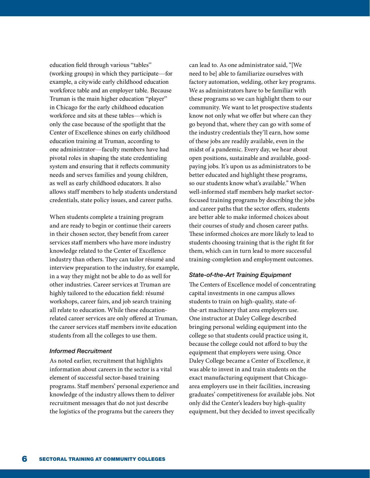education field through various "tables" (working groups) in which they participate—for example, a citywide early childhood education workforce table and an employer table. Because Truman is the main higher education "player" in Chicago for the early childhood education workforce and sits at these tables—which is only the case because of the spotlight that the Center of Excellence shines on early childhood education training at Truman, according to one administrator—faculty members have had pivotal roles in shaping the state credentialing system and ensuring that it reflects community needs and serves families and young children, as well as early childhood educators. It also allows staff members to help students understand credentials, state policy issues, and career paths.

When students complete a training program and are ready to begin or continue their careers in their chosen sector, they benefit from career services staff members who have more industry knowledge related to the Center of Excellence industry than others. They can tailor résumé and interview preparation to the industry, for example, in a way they might not be able to do as well for other industries. Career services at Truman are highly tailored to the education field: résumé workshops, career fairs, and job search training all relate to education. While these educationrelated career services are only offered at Truman, the career services staff members invite education students from all the colleges to use them.

#### *Informed Recruitment*

As noted earlier, recruitment that highlights information about careers in the sector is a vital element of successful sector-based training programs. Staff members' personal experience and knowledge of the industry allows them to deliver recruitment messages that do not just describe the logistics of the programs but the careers they

can lead to. As one administrator said, "[We need to be] able to familiarize ourselves with factory automation, welding, other key programs. We as administrators have to be familiar with these programs so we can highlight them to our community. We want to let prospective students know not only what we offer but where can they go beyond that, where they can go with some of the industry credentials they'll earn, how some of these jobs are readily available, even in the midst of a pandemic. Every day, we hear about open positions, sustainable and available, goodpaying jobs. It's upon us as administrators to be better educated and highlight these programs, so our students know what's available." When well-informed staff members help market sectorfocused training programs by describing the jobs and career paths that the sector offers, students are better able to make informed choices about their courses of study and chosen career paths. These informed choices are more likely to lead to students choosing training that is the right fit for them, which can in turn lead to more successful training-completion and employment outcomes.

#### *State-of-the-Art Training Equipment*

The Centers of Excellence model of concentrating capital investments in one campus allows students to train on high-quality, state-ofthe-art machinery that area employers use. One instructor at Daley College described bringing personal welding equipment into the college so that students could practice using it, because the college could not afford to buy the equipment that employers were using. Once Daley College became a Center of Excellence, it was able to invest in and train students on the exact manufacturing equipment that Chicagoarea employers use in their facilities, increasing graduates' competitiveness for available jobs. Not only did the Center's leaders buy high-quality equipment, but they decided to invest specifically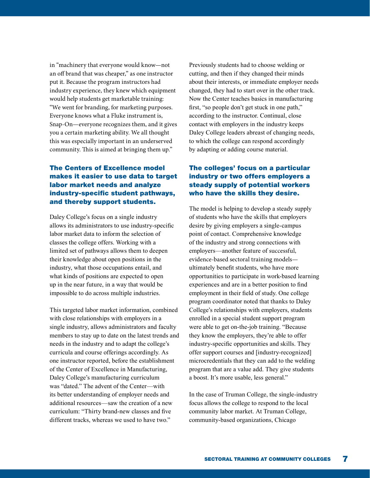in "machinery that everyone would know—not an off brand that was cheaper," as one instructor put it. Because the program instructors had industry experience, they knew which equipment would help students get marketable training: "We went for branding, for marketing purposes. Everyone knows what a Fluke instrument is, Snap-On—everyone recognizes them, and it gives you a certain marketing ability. We all thought this was especially important in an underserved community. This is aimed at bringing them up."

# The Centers of Excellence model makes it easier to use data to target labor market needs and analyze industry-specific student pathways, and thereby support students.

Daley College's focus on a single industry allows its administrators to use industry-specific labor market data to inform the selection of classes the college offers. Working with a limited set of pathways allows them to deepen their knowledge about open positions in the industry, what those occupations entail, and what kinds of positions are expected to open up in the near future, in a way that would be impossible to do across multiple industries.

This targeted labor market information, combined with close relationships with employers in a single industry, allows administrators and faculty members to stay up to date on the latest trends and needs in the industry and to adapt the college's curricula and course offerings accordingly. As one instructor reported, before the establishment of the Center of Excellence in Manufacturing, Daley College's manufacturing curriculum was "dated." The advent of the Center—with its better understanding of employer needs and additional resources—saw the creation of a new curriculum: "Thirty brand-new classes and five different tracks, whereas we used to have two."

Previously students had to choose welding or cutting, and then if they changed their minds about their interests, or immediate employer needs changed, they had to start over in the other track. Now the Center teaches basics in manufacturing first, "so people don't get stuck in one path," according to the instructor. Continual, close contact with employers in the industry keeps Daley College leaders abreast of changing needs, to which the college can respond accordingly by adapting or adding course material.

# The colleges' focus on a particular industry or two offers employers a steady supply of potential workers who have the skills they desire.

The model is helping to develop a steady supply of students who have the skills that employers desire by giving employers a single-campus point of contact. Comprehensive knowledge of the industry and strong connections with employers—another feature of successful, evidence-based sectoral training models ultimately benefit students, who have more opportunities to participate in work-based learning experiences and are in a better position to find employment in their field of study. One college program coordinator noted that thanks to Daley College's relationships with employers, students enrolled in a special student support program were able to get on-the-job training. "Because they know the employers, they're able to offer industry-specific opportunities and skills. They offer support courses and [industry-recognized] microcredentials that they can add to the welding program that are a value add. They give students a boost. It's more usable, less general."

In the case of Truman College, the single-industry focus allows the college to respond to the local community labor market. At Truman College, community-based organizations, Chicago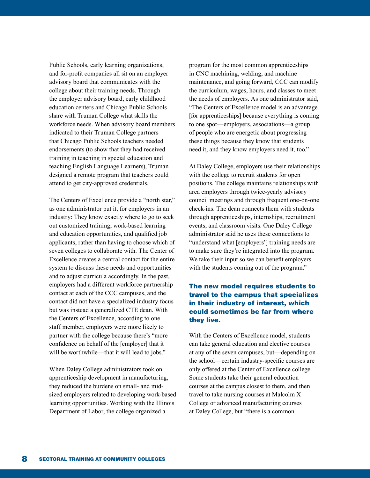Public Schools, early learning organizations, and for-profit companies all sit on an employer advisory board that communicates with the college about their training needs. Through the employer advisory board, early childhood education centers and Chicago Public Schools share with Truman College what skills the workforce needs. When advisory board members indicated to their Truman College partners that Chicago Public Schools teachers needed endorsements (to show that they had received training in teaching in special education and teaching English Language Learners), Truman designed a remote program that teachers could attend to get city-approved credentials.

The Centers of Excellence provide a "north star," as one administrator put it, for employers in an industry: They know exactly where to go to seek out customized training, work-based learning and education opportunities, and qualified job applicants, rather than having to choose which of seven colleges to collaborate with. The Center of Excellence creates a central contact for the entire system to discuss these needs and opportunities and to adjust curricula accordingly. In the past, employers had a different workforce partnership contact at each of the CCC campuses, and the contact did not have a specialized industry focus but was instead a generalized CTE dean. With the Centers of Excellence, according to one staff member, employers were more likely to partner with the college because there's "more confidence on behalf of the [employer] that it will be worthwhile—that it will lead to jobs."

When Daley College administrators took on apprenticeship development in manufacturing, they reduced the burdens on small- and midsized employers related to developing work-based learning opportunities. Working with the Illinois Department of Labor, the college organized a

program for the most common apprenticeships in CNC machining, welding, and machine maintenance, and going forward, CCC can modify the curriculum, wages, hours, and classes to meet the needs of employers. As one administrator said, "The Centers of Excellence model is an advantage [for apprenticeships] because everything is coming to one spot—employers, associations—a group of people who are energetic about progressing these things because they know that students need it, and they know employers need it, too."

At Daley College, employers use their relationships with the college to recruit students for open positions. The college maintains relationships with area employers through twice-yearly advisory council meetings and through frequent one-on-one check-ins. The dean connects them with students through apprenticeships, internships, recruitment events, and classroom visits. One Daley College administrator said he uses these connections to "understand what [employers'] training needs are to make sure they're integrated into the program. We take their input so we can benefit employers with the students coming out of the program."

# The new model requires students to travel to the campus that specializes in their industry of interest, which could sometimes be far from where they live.

With the Centers of Excellence model, students can take general education and elective courses at any of the seven campuses, but—depending on the school—certain industry-specific courses are only offered at the Center of Excellence college. Some students take their general education courses at the campus closest to them, and then travel to take nursing courses at Malcolm X College or advanced manufacturing courses at Daley College, but "there is a common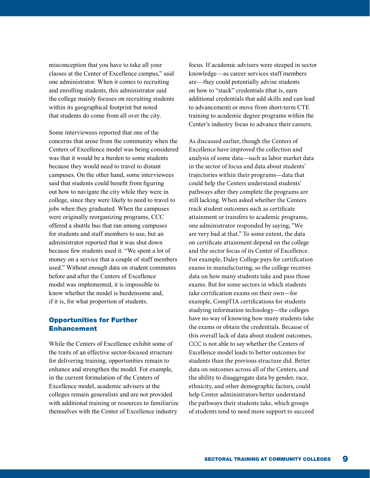misconception that you have to take all your classes at the Center of Excellence campus," said one administrator. When it comes to recruiting and enrolling students, this administrator said the college mainly focuses on recruiting students within its geographical footprint but noted that students do come from all over the city.

Some interviewees reported that one of the concerns that arose from the community when the Centers of Excellence model was being considered was that it would be a burden to some students because they would need to travel to distant campuses. On the other hand, some interviewees said that students could benefit from figuring out how to navigate the city while they were in college, since they were likely to need to travel to jobs when they graduated. When the campuses were originally reorganizing programs, CCC offered a shuttle bus that ran among campuses for students and staff members to use, but an administrator reported that it was shut down because few students used it. "We spent a lot of money on a service that a couple of staff members used." Without enough data on student commutes before and after the Centers of Excellence model was implemented, it is impossible to know whether the model is burdensome and, if it is, for what proportion of students.

# Opportunities for Further Enhancement

While the Centers of Excellence exhibit some of the traits of an effective sector-focused structure for delivering training, opportunities remain to enhance and strengthen the model. For example, in the current formulation of the Centers of Excellence model, academic advisers at the colleges remain generalists and are not provided with additional training or resources to familiarize themselves with the Center of Excellence industry

focus. If academic advisers were steeped in sector knowledge—as career services staff members are—they could potentially advise students on how to "stack" credentials (that is, earn additional credentials that add skills and can lead to advancement) or move from short-term CTE training to academic degree programs within the Center's industry focus to advance their careers.

As discussed earlier, though the Centers of Excellence have improved the collection and analysis of some data—such as labor market data in the sector of focus and data about students' trajectories within their programs—data that could help the Centers understand students' pathways after they complete the programs are still lacking. When asked whether the Centers track student outcomes such as certificate attainment or transfers to academic programs, one administrator responded by saying, "We are very bad at that." To some extent, the data on certificate attainment depend on the college and the sector focus of its Center of Excellence. For example, Daley College pays for certification exams in manufacturing, so the college receives data on how many students take and pass those exams. But for some sectors in which students take certification exams on their own—for example, CompTIA certifications for students studying information technology—the colleges have no way of knowing how many students take the exams or obtain the credentials. Because of this overall lack of data about student outcomes, CCC is not able to say whether the Centers of Excellence model leads to better outcomes for students than the previous structure did. Better data on outcomes across all of the Centers, and the ability to disaggregate data by gender, race, ethnicity, and other demographic factors, could help Center administrators better understand the pathways their students take, which groups of students tend to need more support to succeed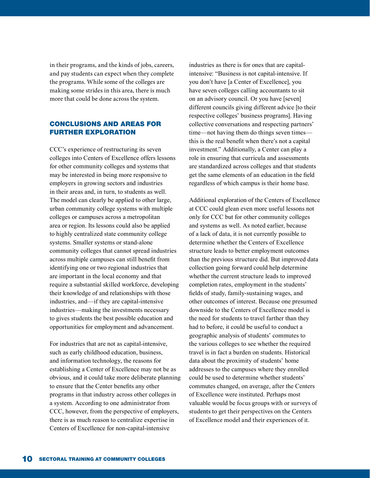in their programs, and the kinds of jobs, careers, and pay students can expect when they complete the programs. While some of the colleges are making some strides in this area, there is much more that could be done across the system.

# CONCLUSIONS AND AREAS FOR FURTHER EXPLORATION

CCC's experience of restructuring its seven colleges into Centers of Excellence offers lessons for other community colleges and systems that may be interested in being more responsive to employers in growing sectors and industries in their areas and, in turn, to students as well. The model can clearly be applied to other large, urban community college systems with multiple colleges or campuses across a metropolitan area or region. Its lessons could also be applied to highly centralized state community college systems. Smaller systems or stand-alone community colleges that cannot spread industries across multiple campuses can still benefit from identifying one or two regional industries that are important in the local economy and that require a substantial skilled workforce, developing their knowledge of and relationships with those industries, and—if they are capital-intensive industries—making the investments necessary to gives students the best possible education and opportunities for employment and advancement.

For industries that are not as capital-intensive, such as early childhood education, business, and information technology, the reasons for establishing a Center of Excellence may not be as obvious, and it could take more deliberate planning to ensure that the Center benefits any other programs in that industry across other colleges in a system. According to one administrator from CCC, however, from the perspective of employers, there is as much reason to centralize expertise in Centers of Excellence for non-capital-intensive

industries as there is for ones that are capitalintensive: "Business is not capital-intensive. If you don't have [a Center of Excellence], you have seven colleges calling accountants to sit on an advisory council. Or you have [seven] different councils giving different advice [to their respective colleges' business programs]. Having collective conversations and respecting partners' time—not having them do things seven times this is the real benefit when there's not a capital investment." Additionally, a Center can play a role in ensuring that curricula and assessments are standardized across colleges and that students get the same elements of an education in the field regardless of which campus is their home base.

Additional exploration of the Centers of Excellence at CCC could glean even more useful lessons not only for CCC but for other community colleges and systems as well. As noted earlier, because of a lack of data, it is not currently possible to determine whether the Centers of Excellence structure leads to better employment outcomes than the previous structure did. But improved data collection going forward could help determine whether the current structure leads to improved completion rates, employment in the students' fields of study, family-sustaining wages, and other outcomes of interest. Because one presumed downside to the Centers of Excellence model is the need for students to travel farther than they had to before, it could be useful to conduct a geographic analysis of students' commutes to the various colleges to see whether the required travel is in fact a burden on students. Historical data about the proximity of students' home addresses to the campuses where they enrolled could be used to determine whether students' commutes changed, on average, after the Centers of Excellence were instituted. Perhaps most valuable would be focus groups with or surveys of students to get their perspectives on the Centers of Excellence model and their experiences of it.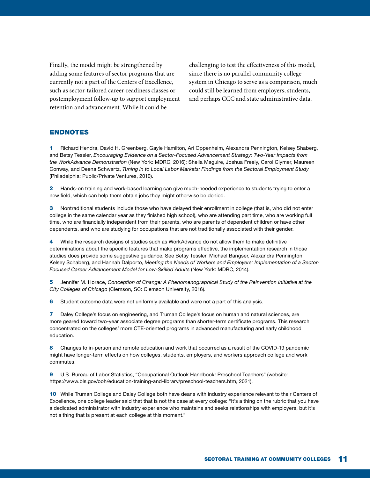Finally, the model might be strengthened by adding some features of sector programs that are currently not a part of the Centers of Excellence, such as sector-tailored career-readiness classes or postemployment follow-up to support employment retention and advancement. While it could be

challenging to test the effectiveness of this model, since there is no parallel community college system in Chicago to serve as a comparison, much could still be learned from employers, students, and perhaps CCC and state administrative data.

## ENDNOTES

1 Richard Hendra, David H. Greenberg, Gayle Hamilton, Ari Oppenheim, Alexandra Pennington, Kelsey Shaberg, and Betsy Tessler, *Encouraging Evidence on a Sector-Focused Advancement Strategy: Two-Year Impacts from the WorkAdvance Demonstration* (New York: MDRC, 2016); Sheila Maguire, Joshua Freely, Carol Clymer, Maureen Conway, and Deena Schwartz, *Tuning in to Local Labor Markets: Findings from the Sectoral Employment Study* (Philadelphia: Public/Private Ventures, 2010).

2 Hands-on training and work-based learning can give much-needed experience to students trying to enter a new field, which can help them obtain jobs they might otherwise be denied.

3 Nontraditional students include those who have delayed their enrollment in college (that is, who did not enter college in the same calendar year as they finished high school), who are attending part time, who are working full time, who are financially independent from their parents, who are parents of dependent children or have other dependents, and who are studying for occupations that are not traditionally associated with their gender.

4 While the research designs of studies such as WorkAdvance do not allow them to make definitive determinations about the specific features that make programs effective, the implementation research in those studies does provide some suggestive guidance. See Betsy Tessler, Michael Bangser, Alexandra Pennington, Kelsey Schaberg, and Hannah Dalporto, *Meeting the Needs of Workers and Employers: Implementation of a Sector-Focused Career Advancement Model for Low-Skilled Adults* (New York: MDRC, 2014).

5 Jennifer M. Horace, *Conception of Change: A Phenomenographical Study of the Reinvention Initiative at the City Colleges of Chicago* (Clemson, SC: Clemson University, 2016).

6 Student outcome data were not uniformly available and were not a part of this analysis.

7 Daley College's focus on engineering, and Truman College's focus on human and natural sciences, are more geared toward two-year associate degree programs than shorter-term certificate programs. This research concentrated on the colleges' more CTE-oriented programs in advanced manufacturing and early childhood education.

8 Changes to in-person and remote education and work that occurred as a result of the COVID-19 pandemic might have longer-term effects on how colleges, students, employers, and workers approach college and work commutes.

9 U.S. Bureau of Labor Statistics, "Occupational Outlook Handbook: Preschool Teachers" (website: [https://www.bls.gov/ooh/education-training-and-library/preschool-teachers.htm,](https://www.bls.gov/ooh/education-training-and-library/preschool-teachers.htm) 2021).

10 While Truman College and Daley College both have deans with industry experience relevant to their Centers of Excellence, one college leader said that that is not the case at every college: "It's a thing on the rubric that you have a dedicated administrator with industry experience who maintains and seeks relationships with employers, but it's not a thing that is present at each college at this moment."